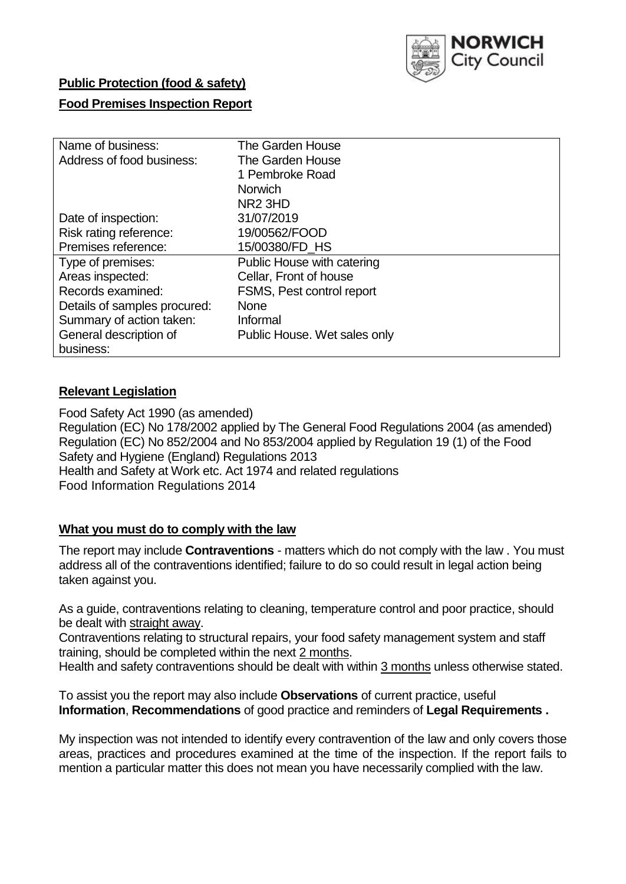

# **Public Protection (food & safety)**

### **Food Premises Inspection Report**

| Name of business:            | The Garden House             |  |  |  |  |  |
|------------------------------|------------------------------|--|--|--|--|--|
| Address of food business:    | The Garden House             |  |  |  |  |  |
|                              | 1 Pembroke Road              |  |  |  |  |  |
|                              | <b>Norwich</b>               |  |  |  |  |  |
|                              | NR <sub>2</sub> 3HD          |  |  |  |  |  |
| Date of inspection:          | 31/07/2019                   |  |  |  |  |  |
| Risk rating reference:       | 19/00562/FOOD                |  |  |  |  |  |
| Premises reference:          | 15/00380/FD HS               |  |  |  |  |  |
| Type of premises:            | Public House with catering   |  |  |  |  |  |
| Areas inspected:             | Cellar, Front of house       |  |  |  |  |  |
| Records examined:            | FSMS, Pest control report    |  |  |  |  |  |
| Details of samples procured: | <b>None</b>                  |  |  |  |  |  |
| Summary of action taken:     | Informal                     |  |  |  |  |  |
| General description of       | Public House. Wet sales only |  |  |  |  |  |
| business:                    |                              |  |  |  |  |  |

## **Relevant Legislation**

Food Safety Act 1990 (as amended) Regulation (EC) No 178/2002 applied by The General Food Regulations 2004 (as amended) Regulation (EC) No 852/2004 and No 853/2004 applied by Regulation 19 (1) of the Food Safety and Hygiene (England) Regulations 2013 Health and Safety at Work etc. Act 1974 and related regulations Food Information Regulations 2014

### **What you must do to comply with the law**

The report may include **Contraventions** - matters which do not comply with the law . You must address all of the contraventions identified; failure to do so could result in legal action being taken against you.

As a guide, contraventions relating to cleaning, temperature control and poor practice, should be dealt with straight away.

Contraventions relating to structural repairs, your food safety management system and staff training, should be completed within the next 2 months.

Health and safety contraventions should be dealt with within 3 months unless otherwise stated.

To assist you the report may also include **Observations** of current practice, useful **Information**, **Recommendations** of good practice and reminders of **Legal Requirements .**

My inspection was not intended to identify every contravention of the law and only covers those areas, practices and procedures examined at the time of the inspection. If the report fails to mention a particular matter this does not mean you have necessarily complied with the law.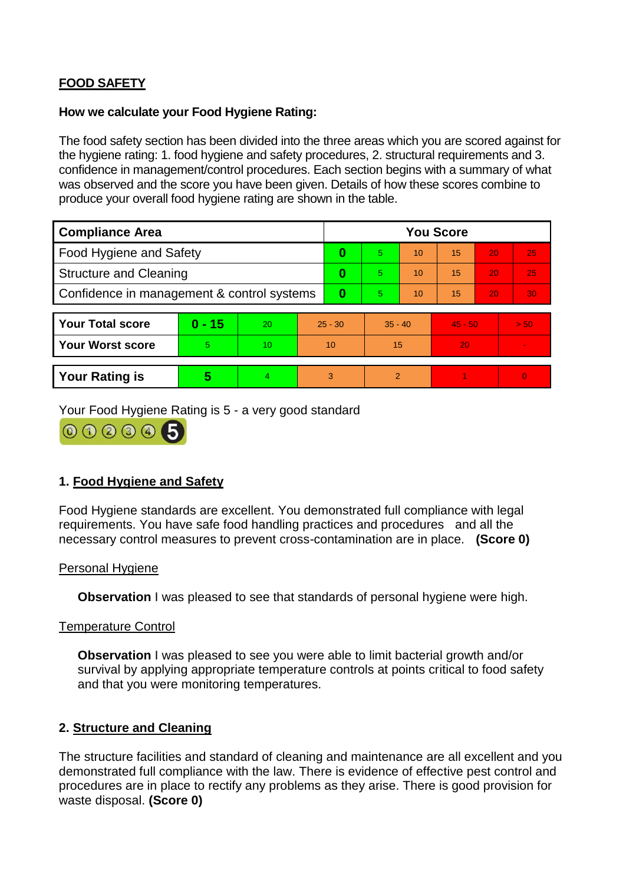# **FOOD SAFETY**

#### **How we calculate your Food Hygiene Rating:**

The food safety section has been divided into the three areas which you are scored against for the hygiene rating: 1. food hygiene and safety procedures, 2. structural requirements and 3. confidence in management/control procedures. Each section begins with a summary of what was observed and the score you have been given. Details of how these scores combine to produce your overall food hygiene rating are shown in the table.

| <b>Compliance Area</b>                     |          |    |           | <b>You Score</b> |           |    |           |    |                |  |  |
|--------------------------------------------|----------|----|-----------|------------------|-----------|----|-----------|----|----------------|--|--|
| Food Hygiene and Safety                    |          |    | 0         | $\overline{5}$   | 10        | 15 | 20        | 25 |                |  |  |
| <b>Structure and Cleaning</b>              |          |    | $\bf{0}$  | 5.               | 10        | 15 | 20        | 25 |                |  |  |
| Confidence in management & control systems |          |    | 0         | 5                | 10        | 15 | 20        | 30 |                |  |  |
|                                            |          |    |           |                  |           |    |           |    |                |  |  |
| <b>Your Total score</b>                    | $0 - 15$ | 20 | $25 - 30$ |                  | $35 - 40$ |    | $45 - 50$ |    | > 50           |  |  |
| Your Worst score                           | 5        | 10 | 10        |                  | 15        |    | 20        |    |                |  |  |
|                                            |          |    |           |                  |           |    |           |    |                |  |  |
| <b>Your Rating is</b>                      | 5        | 4. | 3         |                  | 2         |    |           |    | $\overline{0}$ |  |  |

Your Food Hygiene Rating is 5 - a very good standard



# **1. Food Hygiene and Safety**

Food Hygiene standards are excellent. You demonstrated full compliance with legal requirements. You have safe food handling practices and procedures and all the necessary control measures to prevent cross-contamination are in place. **(Score 0)**

### Personal Hygiene

**Observation** I was pleased to see that standards of personal hygiene were high.

### Temperature Control

**Observation** I was pleased to see you were able to limit bacterial growth and/or survival by applying appropriate temperature controls at points critical to food safety and that you were monitoring temperatures.

### **2. Structure and Cleaning**

The structure facilities and standard of cleaning and maintenance are all excellent and you demonstrated full compliance with the law. There is evidence of effective pest control and procedures are in place to rectify any problems as they arise. There is good provision for waste disposal. **(Score 0)**